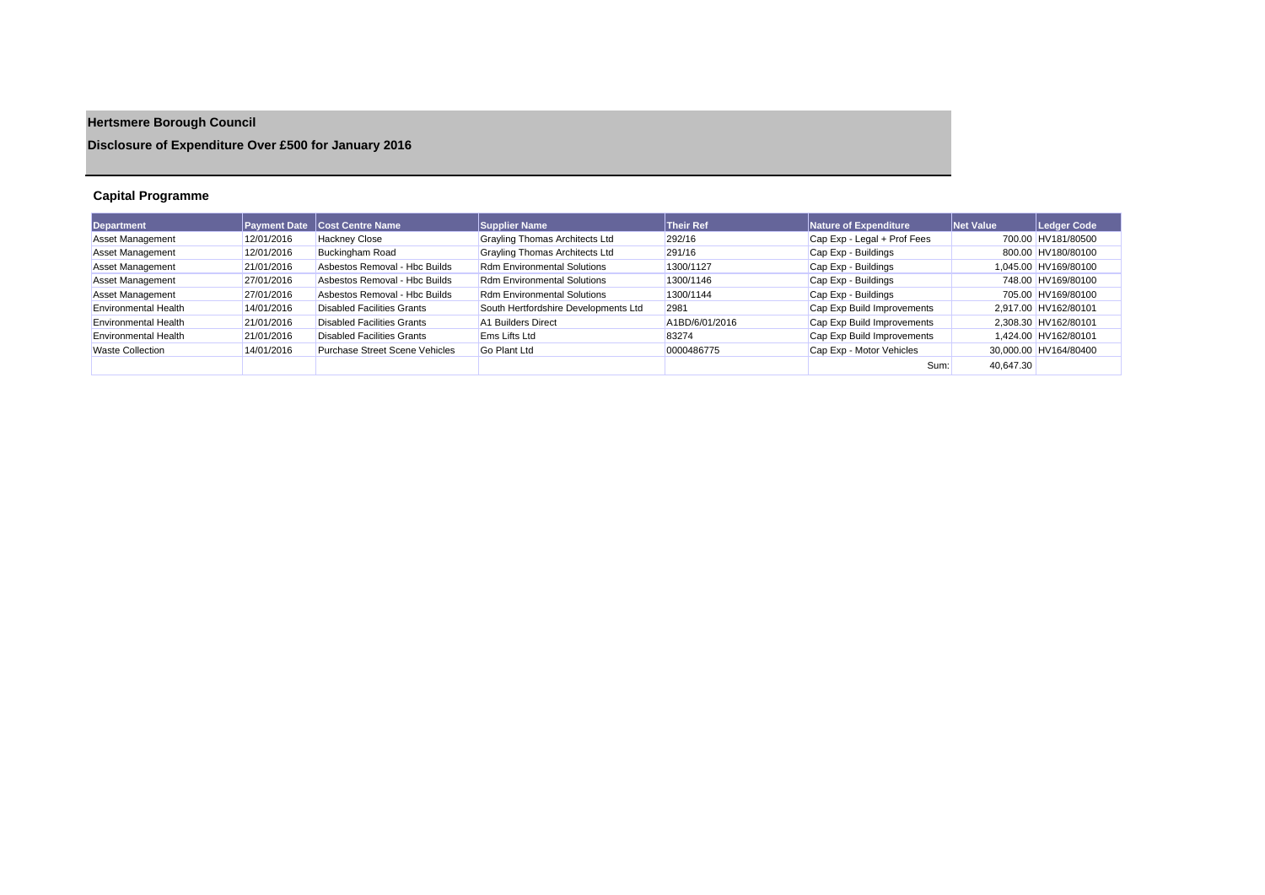# **Hertsmere Borough Council**

## **Disclosure of Expenditure Over £500 for January 2016**

## **Capital Programme**

| Department                  |            | <b>Payment Date   Cost Centre Name</b> | <b>Supplier Name</b>                 | <b>Their Ref</b> | Nature of Expenditure       | Net Value | Ledger Code           |
|-----------------------------|------------|----------------------------------------|--------------------------------------|------------------|-----------------------------|-----------|-----------------------|
| <b>Asset Management</b>     | 12/01/2016 | <b>Hackney Close</b>                   | Grayling Thomas Architects Ltd       | 292/16           | Cap Exp - Legal + Prof Fees |           | 700.00 HV181/80500    |
| <b>Asset Management</b>     | 12/01/2016 | Buckingham Road                        | Grayling Thomas Architects Ltd       | 291/16           | Cap Exp - Buildings         |           | 800.00 HV180/80100    |
| <b>Asset Management</b>     | 21/01/2016 | Asbestos Removal - Hbc Builds          | <b>Rdm Environmental Solutions</b>   | 1300/1127        | Cap Exp - Buildings         |           | 1,045.00 HV169/80100  |
| <b>Asset Management</b>     | 27/01/2016 | Asbestos Removal - Hbc Builds          | <b>Rdm Environmental Solutions</b>   | 1300/1146        | Cap Exp - Buildings         |           | 748.00 HV169/80100    |
| <b>Asset Management</b>     | 27/01/2016 | Asbestos Removal - Hbc Builds          | <b>Rdm Environmental Solutions</b>   | 1300/1144        | Cap Exp - Buildings         |           | 705.00 HV169/80100    |
| <b>Environmental Health</b> | 14/01/2016 | <b>Disabled Facilities Grants</b>      | South Hertfordshire Developments Ltd | 2981             | Cap Exp Build Improvements  |           | 2,917.00 HV162/80101  |
| Environmental Health        | 21/01/2016 | Disabled Facilities Grants             | A1 Builders Direct                   | A1BD/6/01/2016   | Cap Exp Build Improvements  |           | 2.308.30 HV162/80101  |
| <b>Environmental Health</b> | 21/01/2016 | <b>Disabled Facilities Grants</b>      | Ems Lifts Ltd                        | 83274            | Cap Exp Build Improvements  |           | 1,424.00 HV162/80101  |
| Waste Collection            | 14/01/2016 | Purchase Street Scene Vehicles         | Go Plant Ltd                         | 0000486775       | Cap Exp - Motor Vehicles    |           | 30.000.00 HV164/80400 |
|                             |            |                                        |                                      |                  | Sum:                        | 40.647.30 |                       |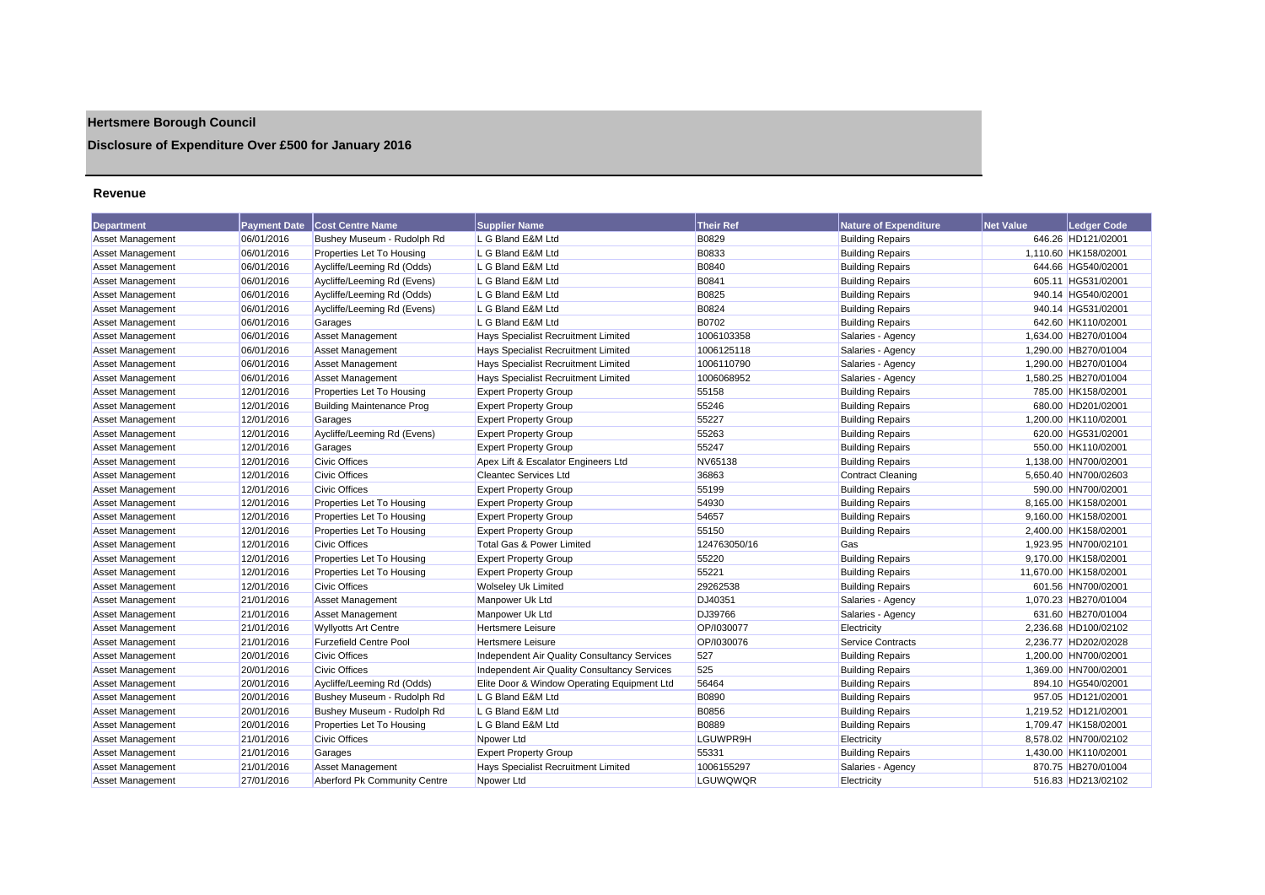## **Hertsmere Borough Council**

## **Disclosure of Expenditure Over £500 for January 2016**

#### **Revenue**

| <b>Department</b>       | <b>Payment Date</b> | <b>Cost Centre Name</b>          | <b>Supplier Name</b>                         | <b>Their Ref</b> | <b>Nature of Expenditure</b> | <b>Net Value</b> | <b>Ledger Code</b>    |
|-------------------------|---------------------|----------------------------------|----------------------------------------------|------------------|------------------------------|------------------|-----------------------|
| Asset Management        | 06/01/2016          | Bushey Museum - Rudolph Rd       | L G Bland E&M Ltd                            | <b>B0829</b>     | <b>Building Repairs</b>      |                  | 646.26 HD121/02001    |
| <b>Asset Management</b> | 06/01/2016          | Properties Let To Housing        | L G Bland E&M Ltd                            | B0833            | <b>Building Repairs</b>      |                  | 1,110.60 HK158/02001  |
| <b>Asset Management</b> | 06/01/2016          | Aycliffe/Leeming Rd (Odds)       | L G Bland E&M Ltd                            | <b>B0840</b>     | <b>Building Repairs</b>      |                  | 644.66 HG540/02001    |
| Asset Management        | 06/01/2016          | Aycliffe/Leeming Rd (Evens)      | L G Bland E&M Ltd                            | B0841            | <b>Building Repairs</b>      |                  | 605.11 HG531/02001    |
| Asset Management        | 06/01/2016          | Aycliffe/Leeming Rd (Odds)       | L G Bland E&M Ltd                            | B0825            | <b>Building Repairs</b>      |                  | 940.14 HG540/02001    |
| <b>Asset Management</b> | 06/01/2016          | Aycliffe/Leeming Rd (Evens)      | L G Bland E&M Ltd                            | B0824            | <b>Building Repairs</b>      |                  | 940.14 HG531/02001    |
| <b>Asset Management</b> | 06/01/2016          | Garages                          | L G Bland E&M Ltd                            | <b>B0702</b>     | <b>Building Repairs</b>      |                  | 642.60 HK110/02001    |
| <b>Asset Management</b> | 06/01/2016          | <b>Asset Management</b>          | Hays Specialist Recruitment Limited          | 1006103358       | Salaries - Agency            |                  | 1,634.00 HB270/01004  |
| Asset Management        | 06/01/2016          | <b>Asset Management</b>          | Hays Specialist Recruitment Limited          | 1006125118       | Salaries - Agency            |                  | 1,290.00 HB270/01004  |
| Asset Management        | 06/01/2016          | <b>Asset Management</b>          | Hays Specialist Recruitment Limited          | 1006110790       | Salaries - Agency            |                  | 1.290.00 HB270/01004  |
| <b>Asset Management</b> | 06/01/2016          | Asset Management                 | Hays Specialist Recruitment Limited          | 1006068952       | Salaries - Agency            |                  | 1,580.25 HB270/01004  |
| <b>Asset Management</b> | 12/01/2016          | Properties Let To Housing        | <b>Expert Property Group</b>                 | 55158            | <b>Building Repairs</b>      |                  | 785.00 HK158/02001    |
| <b>Asset Management</b> | 12/01/2016          | <b>Building Maintenance Prog</b> | <b>Expert Property Group</b>                 | 55246            | <b>Building Repairs</b>      |                  | 680.00 HD201/02001    |
| Asset Management        | 12/01/2016          | Garages                          | <b>Expert Property Group</b>                 | 55227            | <b>Building Repairs</b>      |                  | 1,200.00 HK110/02001  |
| <b>Asset Management</b> | 12/01/2016          | Aycliffe/Leeming Rd (Evens)      | <b>Expert Property Group</b>                 | 55263            | <b>Building Repairs</b>      |                  | 620.00 HG531/02001    |
| <b>Asset Management</b> | 12/01/2016          | Garages                          | <b>Expert Property Group</b>                 | 55247            | <b>Building Repairs</b>      |                  | 550.00 HK110/02001    |
| <b>Asset Management</b> | 12/01/2016          | <b>Civic Offices</b>             | Apex Lift & Escalator Engineers Ltd          | NV65138          | <b>Building Repairs</b>      |                  | 1,138.00 HN700/02001  |
| <b>Asset Management</b> | 12/01/2016          | <b>Civic Offices</b>             | <b>Cleantec Services Ltd</b>                 | 36863            | <b>Contract Cleaning</b>     |                  | 5,650.40 HN700/02603  |
| Asset Management        | 12/01/2016          | <b>Civic Offices</b>             | <b>Expert Property Group</b>                 | 55199            | <b>Building Repairs</b>      |                  | 590.00 HN700/02001    |
| Asset Management        | 12/01/2016          | Properties Let To Housing        | <b>Expert Property Group</b>                 | 54930            | <b>Building Repairs</b>      |                  | 8,165.00 HK158/02001  |
| <b>Asset Management</b> | 12/01/2016          | Properties Let To Housing        | <b>Expert Property Group</b>                 | 54657            | <b>Building Repairs</b>      |                  | 9,160.00 HK158/02001  |
| <b>Asset Management</b> | 12/01/2016          | Properties Let To Housing        | <b>Expert Property Group</b>                 | 55150            | <b>Building Repairs</b>      |                  | 2,400.00 HK158/02001  |
| Asset Management        | 12/01/2016          | <b>Civic Offices</b>             | Total Gas & Power Limited                    | 124763050/16     | Gas                          |                  | 1,923.95 HN700/02101  |
| <b>Asset Management</b> | 12/01/2016          | Properties Let To Housing        | <b>Expert Property Group</b>                 | 55220            | <b>Building Repairs</b>      |                  | 9,170.00 HK158/02001  |
| <b>Asset Management</b> | 12/01/2016          | Properties Let To Housing        | <b>Expert Property Group</b>                 | 55221            | <b>Building Repairs</b>      |                  | 11,670.00 HK158/02001 |
| <b>Asset Management</b> | 12/01/2016          | <b>Civic Offices</b>             | <b>Wolseley Uk Limited</b>                   | 29262538         | <b>Building Repairs</b>      |                  | 601.56 HN700/02001    |
| Asset Management        | 21/01/2016          | <b>Asset Management</b>          | Manpower Uk Ltd                              | DJ40351          | Salaries - Agency            |                  | 1,070.23 HB270/01004  |
| <b>Asset Management</b> | 21/01/2016          | <b>Asset Management</b>          | Manpower Uk Ltd                              | DJ39766          | Salaries - Agency            |                  | 631.60 HB270/01004    |
| <b>Asset Management</b> | 21/01/2016          | <b>Wyllyotts Art Centre</b>      | <b>Hertsmere Leisure</b>                     | OP/1030077       | Electricity                  |                  | 2.236.68 HD100/02102  |
| Asset Management        | 21/01/2016          | <b>Furzefield Centre Pool</b>    | <b>Hertsmere Leisure</b>                     | OP/1030076       | Service Contracts            |                  | 2,236.77 HD202/02028  |
| <b>Asset Management</b> | 20/01/2016          | <b>Civic Offices</b>             | Independent Air Quality Consultancy Services | 527              | <b>Building Repairs</b>      |                  | 1,200.00 HN700/02001  |
| <b>Asset Management</b> | 20/01/2016          | <b>Civic Offices</b>             | Independent Air Quality Consultancy Services | 525              | <b>Building Repairs</b>      |                  | 1,369.00 HN700/02001  |
| <b>Asset Management</b> | 20/01/2016          | Aycliffe/Leeming Rd (Odds)       | Elite Door & Window Operating Equipment Ltd  | 56464            | <b>Building Repairs</b>      |                  | 894.10 HG540/02001    |
| <b>Asset Management</b> | 20/01/2016          | Bushey Museum - Rudolph Rd       | L G Bland E&M Ltd                            | B0890            | <b>Building Repairs</b>      |                  | 957.05 HD121/02001    |
| <b>Asset Management</b> | 20/01/2016          | Bushey Museum - Rudolph Rd       | L G Bland E&M Ltd                            | <b>B0856</b>     | <b>Building Repairs</b>      |                  | 1,219.52 HD121/02001  |
| <b>Asset Management</b> | 20/01/2016          | Properties Let To Housing        | L G Bland E&M Ltd                            | <b>B0889</b>     | <b>Building Repairs</b>      |                  | 1,709.47 HK158/02001  |
| Asset Management        | 21/01/2016          | <b>Civic Offices</b>             | Npower Ltd                                   | LGUWPR9H         | Electricity                  |                  | 8,578.02 HN700/02102  |
| Asset Management        | 21/01/2016          | Garages                          | <b>Expert Property Group</b>                 | 55331            | <b>Building Repairs</b>      |                  | 1,430.00 HK110/02001  |
| <b>Asset Management</b> | 21/01/2016          | Asset Management                 | Hays Specialist Recruitment Limited          | 1006155297       | Salaries - Agency            |                  | 870.75 HB270/01004    |
| Asset Management        | 27/01/2016          | Aberford Pk Community Centre     | Npower Ltd                                   | LGUWOWOR         | Electricity                  |                  | 516.83 HD213/02102    |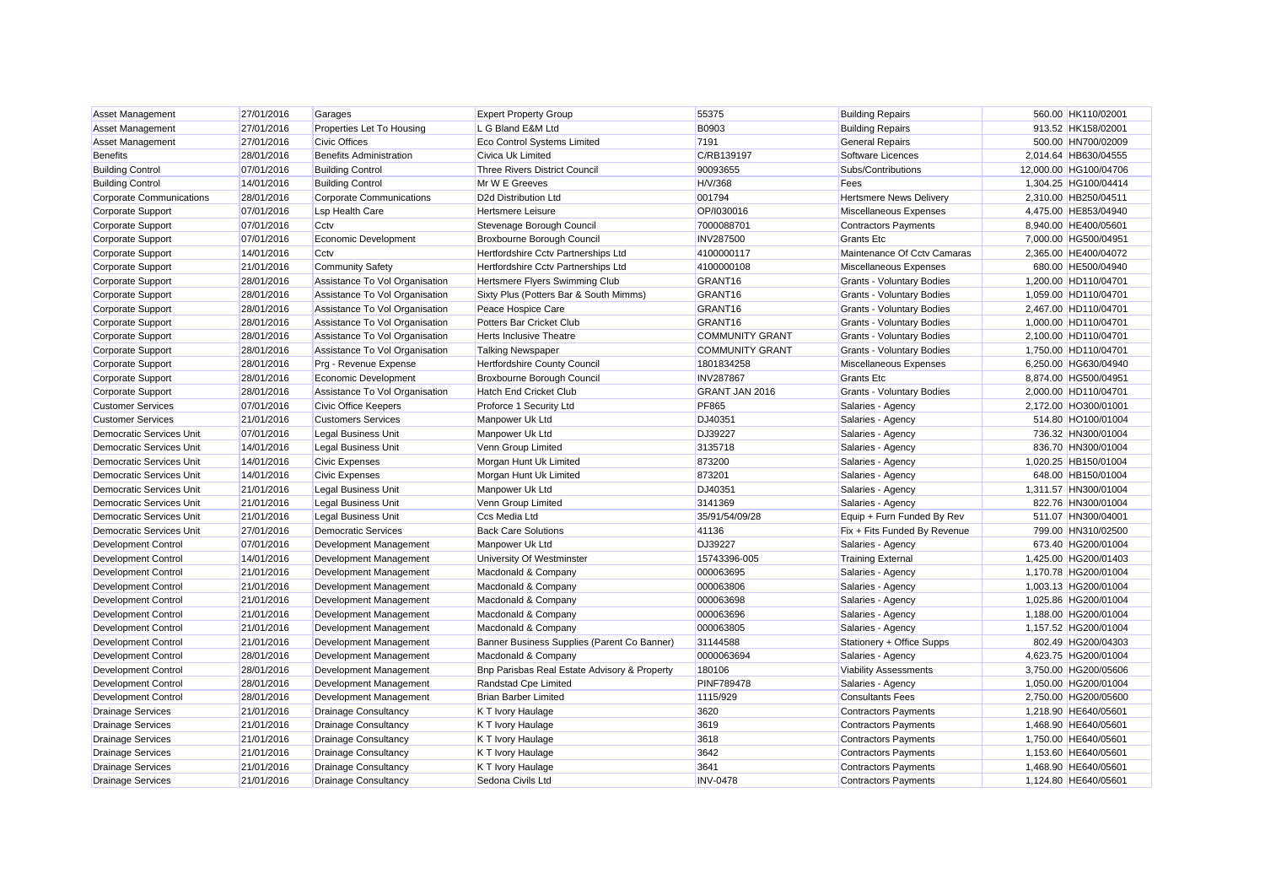| Asset Management                | 27/01/2016 | Garages                         | <b>Expert Property Group</b>                 | 55375                  | <b>Building Repairs</b>          | 560.00 HK110/02001    |
|---------------------------------|------------|---------------------------------|----------------------------------------------|------------------------|----------------------------------|-----------------------|
| Asset Management                | 27/01/2016 | Properties Let To Housing       | L G Bland E&M Ltd                            | B0903                  | <b>Building Repairs</b>          | 913.52 HK158/02001    |
| Asset Management                | 27/01/2016 | <b>Civic Offices</b>            | <b>Eco Control Systems Limited</b>           | 7191                   | <b>General Repairs</b>           | 500.00 HN700/02009    |
| <b>Benefits</b>                 | 28/01/2016 | <b>Benefits Administration</b>  | Civica Uk Limited                            | C/RB139197             | Software Licences                | 2,014.64 HB630/04555  |
| <b>Building Control</b>         | 07/01/2016 | <b>Building Control</b>         | <b>Three Rivers District Council</b>         | 90093655               | Subs/Contributions               | 12,000.00 HG100/04706 |
| <b>Building Control</b>         | 14/01/2016 | <b>Building Control</b>         | Mr W E Greeves                               | H/V/368                | Fees                             | 1,304.25 HG100/04414  |
| <b>Corporate Communications</b> | 28/01/2016 | <b>Corporate Communications</b> | D2d Distribution Ltd                         | 001794                 | <b>Hertsmere News Delivery</b>   | 2,310.00 HB250/04511  |
| Corporate Support               | 07/01/2016 | <b>Lsp Health Care</b>          | <b>Hertsmere Leisure</b>                     | OP/I030016             | Miscellaneous Expenses           | 4,475.00 HE853/04940  |
| Corporate Support               | 07/01/2016 | Cctv                            | Stevenage Borough Council                    | 7000088701             | <b>Contractors Payments</b>      | 8,940.00 HE400/05601  |
| Corporate Support               | 07/01/2016 | Economic Development            | Broxbourne Borough Council                   | <b>INV287500</b>       | <b>Grants Etc</b>                | 7,000.00 HG500/04951  |
| Corporate Support               | 14/01/2016 | Cctv                            | Hertfordshire Cctv Partnerships Ltd          | 4100000117             | Maintenance Of Ccty Camaras      | 2,365.00 HE400/04072  |
| Corporate Support               | 21/01/2016 | <b>Community Safety</b>         | Hertfordshire Cctv Partnerships Ltd          | 4100000108             | Miscellaneous Expenses           | 680.00 HE500/04940    |
| Corporate Support               | 28/01/2016 | Assistance To Vol Organisation  | Hertsmere Flyers Swimming Club               | GRANT16                | <b>Grants - Voluntary Bodies</b> | 1,200.00 HD110/04701  |
| Corporate Support               | 28/01/2016 | Assistance To Vol Organisation  | Sixty Plus (Potters Bar & South Mimms)       | GRANT16                | <b>Grants - Voluntary Bodies</b> | 1,059.00 HD110/04701  |
| Corporate Support               | 28/01/2016 | Assistance To Vol Organisation  | Peace Hospice Care                           | GRANT16                | <b>Grants - Voluntary Bodies</b> | 2,467.00 HD110/04701  |
| Corporate Support               | 28/01/2016 | Assistance To Vol Organisation  | Potters Bar Cricket Club                     | GRANT16                | <b>Grants - Voluntary Bodies</b> | 1,000.00 HD110/04701  |
| Corporate Support               | 28/01/2016 | Assistance To Vol Organisation  | <b>Herts Inclusive Theatre</b>               | <b>COMMUNITY GRANT</b> | <b>Grants - Voluntary Bodies</b> | 2,100.00 HD110/04701  |
| Corporate Support               | 28/01/2016 | Assistance To Vol Organisation  | <b>Talking Newspaper</b>                     | <b>COMMUNITY GRANT</b> | <b>Grants - Voluntary Bodies</b> | 1,750.00 HD110/04701  |
| Corporate Support               | 28/01/2016 | Prg - Revenue Expense           | Hertfordshire County Council                 | 1801834258             | Miscellaneous Expenses           | 6,250.00 HG630/04940  |
| Corporate Support               | 28/01/2016 | Economic Development            | Broxbourne Borough Council                   | <b>INV287867</b>       | <b>Grants Etc</b>                | 8,874.00 HG500/04951  |
| Corporate Support               | 28/01/2016 | Assistance To Vol Organisation  | <b>Hatch End Cricket Club</b>                | GRANT JAN 2016         | <b>Grants - Voluntary Bodies</b> | 2,000.00 HD110/04701  |
| <b>Customer Services</b>        | 07/01/2016 | <b>Civic Office Keepers</b>     | Proforce 1 Security Ltd                      | PF865                  | Salaries - Agency                | 2,172.00 HO300/01001  |
| <b>Customer Services</b>        | 21/01/2016 | <b>Customers Services</b>       | Manpower Uk Ltd                              | DJ40351                | Salaries - Agency                | 514.80 HO100/01004    |
| Democratic Services Unit        | 07/01/2016 | <b>Legal Business Unit</b>      | Manpower Uk Ltd                              | DJ39227                | Salaries - Agency                | 736.32 HN300/01004    |
| <b>Democratic Services Unit</b> | 14/01/2016 | <b>Legal Business Unit</b>      | Venn Group Limited                           | 3135718                | Salaries - Agency                | 836.70 HN300/01004    |
| <b>Democratic Services Unit</b> | 14/01/2016 | <b>Civic Expenses</b>           | Morgan Hunt Uk Limited                       | 873200                 | Salaries - Agency                | 1,020.25 HB150/01004  |
| Democratic Services Unit        | 14/01/2016 | <b>Civic Expenses</b>           | Morgan Hunt Uk Limited                       | 873201                 | Salaries - Agency                | 648.00 HB150/01004    |
| <b>Democratic Services Unit</b> | 21/01/2016 | <b>Legal Business Unit</b>      | Manpower Uk Ltd                              | DJ40351                | Salaries - Agency                | 1,311.57 HN300/01004  |
| Democratic Services Unit        | 21/01/2016 | <b>Legal Business Unit</b>      | Venn Group Limited                           | 3141369                | Salaries - Agency                | 822.76 HN300/01004    |
| <b>Democratic Services Unit</b> | 21/01/2016 | <b>Legal Business Unit</b>      | Ccs Media Ltd                                | 35/91/54/09/28         | Equip + Furn Funded By Rev       | 511.07 HN300/04001    |
| Democratic Services Unit        | 27/01/2016 | <b>Democratic Services</b>      | <b>Back Care Solutions</b>                   | 41136                  | Fix + Fits Funded By Revenue     | 799.00 HN310/02500    |
| <b>Development Control</b>      | 07/01/2016 | Development Management          | Manpower Uk Ltd                              | DJ39227                | Salaries - Agency                | 673.40 HG200/01004    |
| <b>Development Control</b>      | 14/01/2016 | Development Management          | University Of Westminster                    | 15743396-005           | <b>Training External</b>         | 1,425.00 HG200/01403  |
| Development Control             | 21/01/2016 | Development Management          | Macdonald & Company                          | 000063695              | Salaries - Agency                | 1.170.78 HG200/01004  |
| Development Control             | 21/01/2016 | Development Management          | Macdonald & Company                          | 000063806              | Salaries - Agency                | 1,003.13 HG200/01004  |
| <b>Development Control</b>      | 21/01/2016 | Development Management          | Macdonald & Company                          | 000063698              | Salaries - Agency                | 1,025.86 HG200/01004  |
| <b>Development Control</b>      | 21/01/2016 | Development Management          | Macdonald & Company                          | 000063696              | Salaries - Agency                | 1,188.00 HG200/01004  |
| Development Control             | 21/01/2016 | Development Management          | Macdonald & Company                          | 000063805              | Salaries - Agency                | 1,157.52 HG200/01004  |
| <b>Development Control</b>      | 21/01/2016 | Development Management          | Banner Business Supplies (Parent Co Banner)  | 31144588               | Stationery + Office Supps        | 802.49 HG200/04303    |
| <b>Development Control</b>      | 28/01/2016 | Development Management          | Macdonald & Company                          | 0000063694             | Salaries - Agency                | 4,623.75 HG200/01004  |
| <b>Development Control</b>      | 28/01/2016 | Development Management          | Bnp Parisbas Real Estate Advisory & Property | 180106                 | <b>Viability Assessments</b>     | 3,750.00 HG200/05606  |
| Development Control             | 28/01/2016 | Development Management          | Randstad Cpe Limited                         | PINF789478             | Salaries - Agency                | 1,050.00 HG200/01004  |
| <b>Development Control</b>      | 28/01/2016 | Development Management          | <b>Brian Barber Limited</b>                  | 1115/929               | <b>Consultants Fees</b>          | 2,750.00 HG200/05600  |
| <b>Drainage Services</b>        | 21/01/2016 | <b>Drainage Consultancy</b>     | K T Ivory Haulage                            | 3620                   | <b>Contractors Payments</b>      | 1,218.90 HE640/05601  |
| <b>Drainage Services</b>        | 21/01/2016 | <b>Drainage Consultancy</b>     | K T Ivory Haulage                            | 3619                   | <b>Contractors Payments</b>      | 1.468.90 HE640/05601  |
| <b>Drainage Services</b>        | 21/01/2016 | <b>Drainage Consultancy</b>     | K T Ivory Haulage                            | 3618                   | <b>Contractors Payments</b>      | 1,750.00 HE640/05601  |
| <b>Drainage Services</b>        | 21/01/2016 | <b>Drainage Consultancy</b>     | K T Ivory Haulage                            | 3642                   | <b>Contractors Payments</b>      | 1,153.60 HE640/05601  |
| <b>Drainage Services</b>        | 21/01/2016 | <b>Drainage Consultancy</b>     | K T Ivory Haulage                            | 3641                   | <b>Contractors Payments</b>      | 1,468.90 HE640/05601  |
| <b>Drainage Services</b>        | 21/01/2016 | <b>Drainage Consultancy</b>     | Sedona Civils Ltd                            | <b>INV-0478</b>        | <b>Contractors Payments</b>      | 1.124.80 HE640/05601  |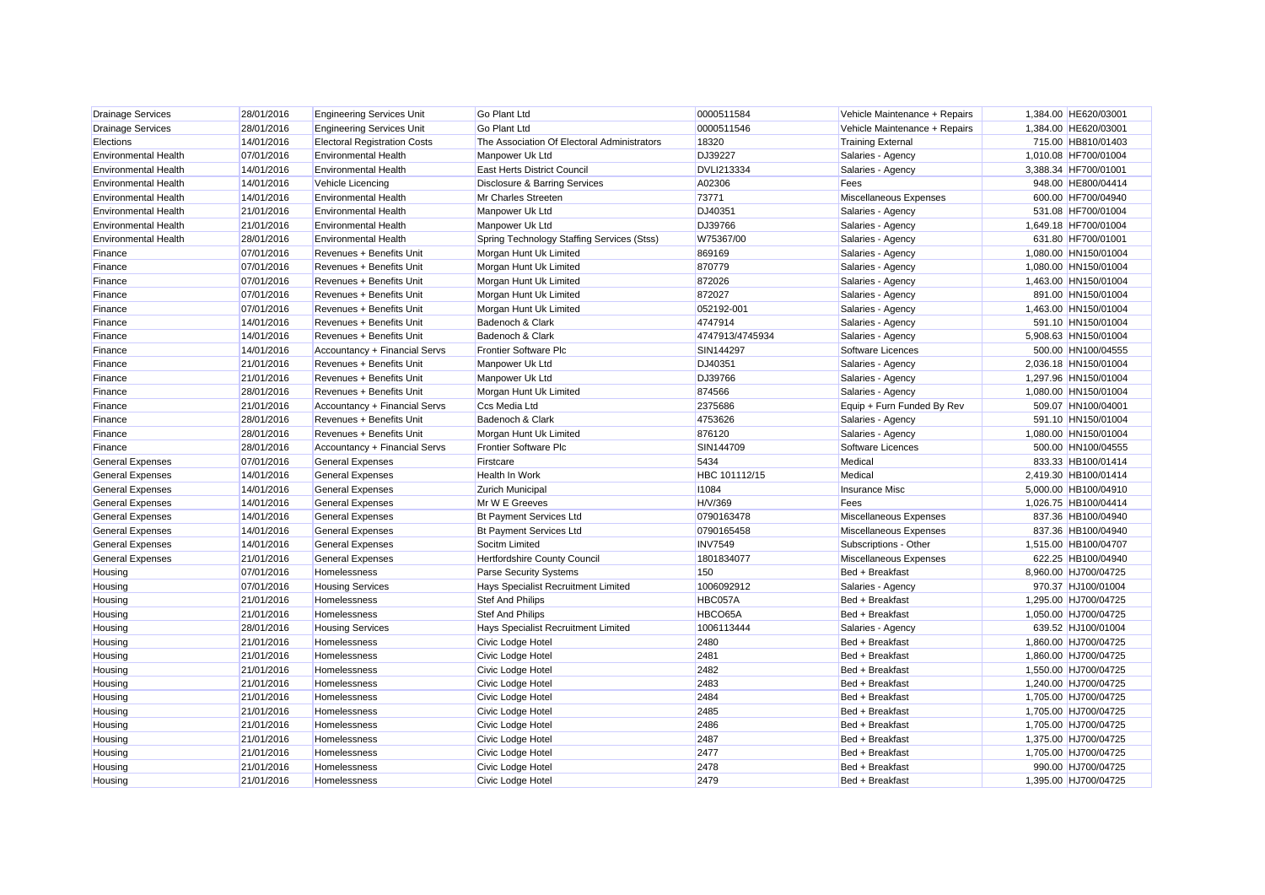| <b>Drainage Services</b>    | 28/01/2016 | <b>Engineering Services Unit</b>    | <b>Go Plant Ltd</b>                         | 0000511584        | Vehicle Maintenance + Repairs | 1,384.00 HE620/03001 |
|-----------------------------|------------|-------------------------------------|---------------------------------------------|-------------------|-------------------------------|----------------------|
| <b>Drainage Services</b>    | 28/01/2016 | <b>Engineering Services Unit</b>    | <b>Go Plant Ltd</b>                         | 0000511546        | Vehicle Maintenance + Repairs | 1,384.00 HE620/03001 |
| Elections                   | 14/01/2016 | <b>Electoral Registration Costs</b> | The Association Of Electoral Administrators | 18320             | <b>Training External</b>      | 715.00 HB810/01403   |
| <b>Environmental Health</b> | 07/01/2016 | <b>Environmental Health</b>         | Manpower Uk Ltd                             | DJ39227           | Salaries - Agency             | 1,010.08 HF700/01004 |
| <b>Environmental Health</b> | 14/01/2016 | <b>Environmental Health</b>         | East Herts District Council                 | <b>DVLI213334</b> | Salaries - Agency             | 3,388.34 HF700/01001 |
| <b>Environmental Health</b> | 14/01/2016 | Vehicle Licencing                   | Disclosure & Barring Services               | A02306            | Fees                          | 948.00 HE800/04414   |
| <b>Environmental Health</b> | 14/01/2016 | <b>Environmental Health</b>         | Mr Charles Streeten                         | 73771             | Miscellaneous Expenses        | 600.00 HF700/04940   |
| <b>Environmental Health</b> | 21/01/2016 | <b>Environmental Health</b>         | Manpower Uk Ltd                             | DJ40351           | Salaries - Agency             | 531.08 HF700/01004   |
| <b>Environmental Health</b> | 21/01/2016 | <b>Environmental Health</b>         | Manpower Uk Ltd                             | DJ39766           | Salaries - Agency             | 1,649.18 HF700/01004 |
| <b>Environmental Health</b> | 28/01/2016 | <b>Environmental Health</b>         | Spring Technology Staffing Services (Stss)  | W75367/00         | Salaries - Agency             | 631.80 HF700/01001   |
| Finance                     | 07/01/2016 | Revenues + Benefits Unit            | Morgan Hunt Uk Limited                      | 869169            | Salaries - Agency             | 1,080.00 HN150/01004 |
| Finance                     | 07/01/2016 | Revenues + Benefits Unit            | Morgan Hunt Uk Limited                      | 870779            | Salaries - Agency             | 1,080.00 HN150/01004 |
| Finance                     | 07/01/2016 | Revenues + Benefits Unit            | Morgan Hunt Uk Limited                      | 872026            | Salaries - Agency             | 1,463.00 HN150/01004 |
| Finance                     | 07/01/2016 | Revenues + Benefits Unit            | Morgan Hunt Uk Limited                      | 872027            | Salaries - Agency             | 891.00 HN150/01004   |
| Finance                     | 07/01/2016 | Revenues + Benefits Unit            | Morgan Hunt Uk Limited                      | 052192-001        | Salaries - Agency             | 1,463.00 HN150/01004 |
| Finance                     | 14/01/2016 | Revenues + Benefits Unit            | Badenoch & Clark                            | 4747914           | Salaries - Agency             | 591.10 HN150/01004   |
| Finance                     | 14/01/2016 | Revenues + Benefits Unit            | Badenoch & Clark                            | 4747913/4745934   | Salaries - Agency             | 5,908.63 HN150/01004 |
| Finance                     | 14/01/2016 | Accountancy + Financial Servs       | <b>Frontier Software Plc</b>                | SIN144297         | Software Licences             | 500.00 HN100/04555   |
| Finance                     | 21/01/2016 | Revenues + Benefits Unit            | Manpower Uk Ltd                             | DJ40351           | Salaries - Agency             | 2,036.18 HN150/01004 |
| Finance                     | 21/01/2016 | Revenues + Benefits Unit            | Manpower Uk Ltd                             | DJ39766           | Salaries - Agency             | 1,297.96 HN150/01004 |
| Finance                     | 28/01/2016 | Revenues + Benefits Unit            | Morgan Hunt Uk Limited                      | 874566            | Salaries - Agency             | 1,080.00 HN150/01004 |
| Finance                     | 21/01/2016 | Accountancy + Financial Servs       | Ccs Media Ltd                               | 2375686           | Equip + Furn Funded By Rev    | 509.07 HN100/04001   |
| Finance                     | 28/01/2016 | Revenues + Benefits Unit            | Badenoch & Clark                            | 4753626           | Salaries - Agency             | 591.10 HN150/01004   |
| Finance                     | 28/01/2016 | Revenues + Benefits Unit            | Morgan Hunt Uk Limited                      | 876120            | Salaries - Agency             | 1,080.00 HN150/01004 |
| Finance                     | 28/01/2016 | Accountancy + Financial Servs       | Frontier Software Plc                       | SIN144709         | Software Licences             | 500.00 HN100/04555   |
| <b>General Expenses</b>     | 07/01/2016 | <b>General Expenses</b>             | Firstcare                                   | 5434              | Medical                       | 833.33 HB100/01414   |
| <b>General Expenses</b>     | 14/01/2016 | <b>General Expenses</b>             | <b>Health In Work</b>                       | HBC 101112/15     | Medical                       | 2,419.30 HB100/01414 |
| <b>General Expenses</b>     | 14/01/2016 | <b>General Expenses</b>             | <b>Zurich Municipal</b>                     | 11084             | <b>Insurance Misc</b>         | 5.000.00 HB100/04910 |
| <b>General Expenses</b>     | 14/01/2016 | <b>General Expenses</b>             | Mr W E Greeves                              | H/V/369           | Fees                          | 1,026.75 HB100/04414 |
| <b>General Expenses</b>     | 14/01/2016 | <b>General Expenses</b>             | <b>Bt Payment Services Ltd</b>              | 0790163478        | <b>Miscellaneous Expenses</b> | 837.36 HB100/04940   |
| <b>General Expenses</b>     | 14/01/2016 | <b>General Expenses</b>             | <b>Bt Payment Services Ltd</b>              | 0790165458        | <b>Miscellaneous Expenses</b> | 837.36 HB100/04940   |
| <b>General Expenses</b>     | 14/01/2016 | <b>General Expenses</b>             | Socitm Limited                              | <b>INV7549</b>    | Subscriptions - Other         | 1,515.00 HB100/04707 |
| <b>General Expenses</b>     | 21/01/2016 | <b>General Expenses</b>             | Hertfordshire County Council                | 1801834077        | Miscellaneous Expenses        | 622.25 HB100/04940   |
| Housing                     | 07/01/2016 | Homelessness                        | <b>Parse Security Systems</b>               | 150               | Bed + Breakfast               | 8,960.00 HJ700/04725 |
| Housing                     | 07/01/2016 | <b>Housing Services</b>             | Hays Specialist Recruitment Limited         | 1006092912        | Salaries - Agency             | 970.37 HJ100/01004   |
| Housing                     | 21/01/2016 | Homelessness                        | Stef And Philips                            | HBC057A           | Bed + Breakfast               | 1,295.00 HJ700/04725 |
| Housing                     | 21/01/2016 | Homelessness                        | <b>Stef And Philips</b>                     | HBCO65A           | Bed + Breakfast               | 1,050.00 HJ700/04725 |
| Housing                     | 28/01/2016 | <b>Housing Services</b>             | Hays Specialist Recruitment Limited         | 1006113444        | Salaries - Agency             | 639.52 HJ100/01004   |
| Housing                     | 21/01/2016 | Homelessness                        | Civic Lodge Hotel                           | 2480              | Bed + Breakfast               | 1,860.00 HJ700/04725 |
| Housing                     | 21/01/2016 | Homelessness                        | Civic Lodge Hotel                           | 2481              | Bed + Breakfast               | 1,860.00 HJ700/04725 |
| Housing                     | 21/01/2016 | Homelessness                        | Civic Lodge Hotel                           | 2482              | Bed + Breakfast               | 1,550.00 HJ700/04725 |
| Housing                     | 21/01/2016 | <b>Homelessness</b>                 | Civic Lodge Hotel                           | 2483              | Bed + Breakfast               | 1,240.00 HJ700/04725 |
| Housing                     | 21/01/2016 | Homelessness                        | Civic Lodge Hotel                           | 2484              | Bed + Breakfast               | 1,705.00 HJ700/04725 |
| Housing                     | 21/01/2016 | Homelessness                        | Civic Lodge Hotel                           | 2485              | Bed + Breakfast               | 1,705.00 HJ700/04725 |
| Housing                     | 21/01/2016 | Homelessness                        | Civic Lodge Hotel                           | 2486              | Bed + Breakfast               | 1,705.00 HJ700/04725 |
| Housing                     | 21/01/2016 | Homelessness                        | Civic Lodge Hotel                           | 2487              | Bed + Breakfast               | 1,375.00 HJ700/04725 |
| Housing                     | 21/01/2016 | Homelessness                        | Civic Lodge Hotel                           | 2477              | Bed + Breakfast               | 1,705.00 HJ700/04725 |
| Housing                     | 21/01/2016 | Homelessness                        | <b>Civic Lodge Hotel</b>                    | 2478              | Bed + Breakfast               | 990.00 HJ700/04725   |
| Housing                     | 21/01/2016 | <b>Homelessness</b>                 | <b>Civic Lodge Hotel</b>                    | 2479              | Bed + Breakfast               | 1.395.00 HJ700/04725 |
|                             |            |                                     |                                             |                   |                               |                      |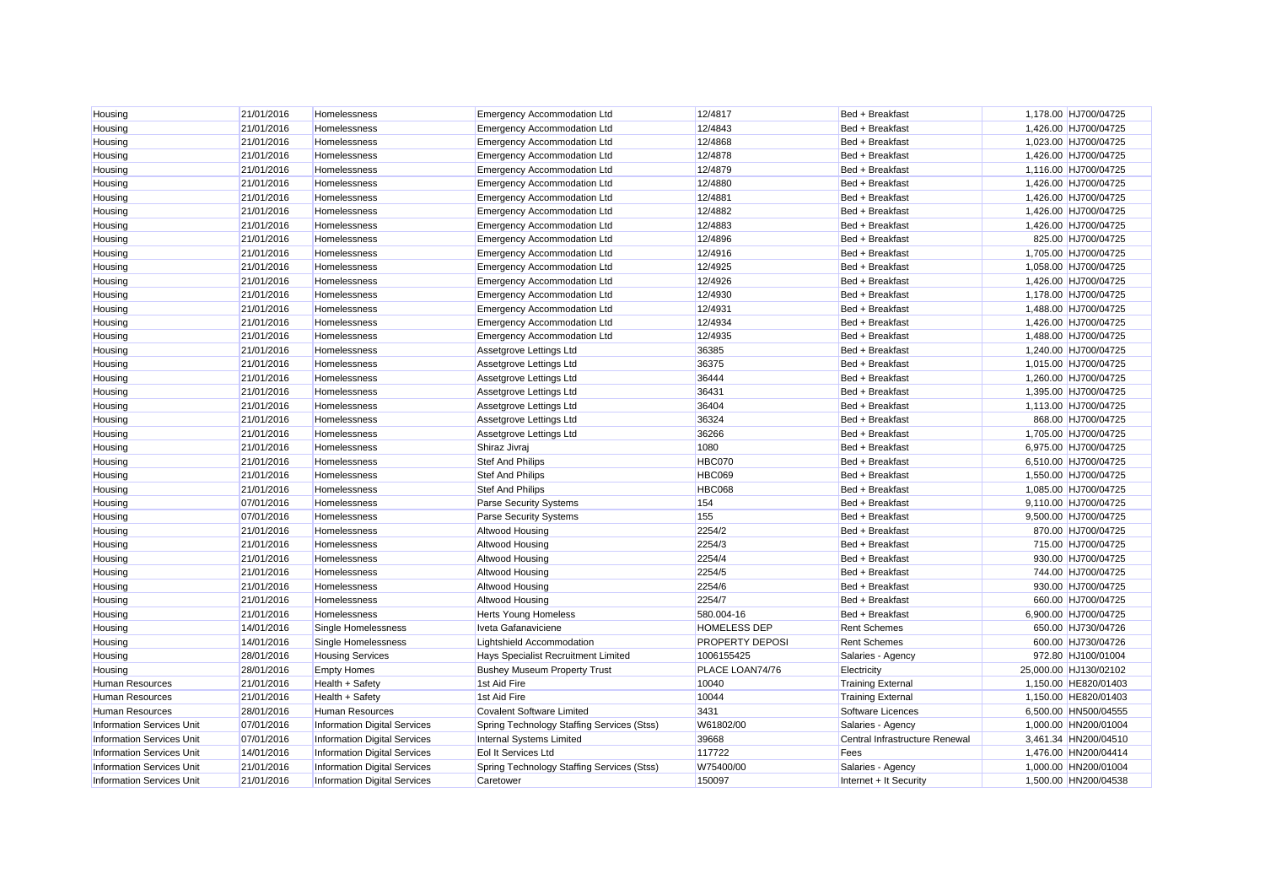| Housing                          | 21/01/2016 | Homelessness                        | <b>Emergency Accommodation Ltd</b>         | 12/4817             | Bed + Breakfast                | 1,178.00 HJ700/04725  |
|----------------------------------|------------|-------------------------------------|--------------------------------------------|---------------------|--------------------------------|-----------------------|
| Housing                          | 21/01/2016 | Homelessness                        | <b>Emergency Accommodation Ltd</b>         | 12/4843             | Bed + Breakfast                | 1,426.00 HJ700/04725  |
| Housing                          | 21/01/2016 | Homelessness                        | <b>Emergency Accommodation Ltd</b>         | 12/4868             | Bed + Breakfast                | 1,023.00 HJ700/04725  |
| Housing                          | 21/01/2016 | Homelessness                        | <b>Emergency Accommodation Ltd</b>         | 12/4878             | Bed + Breakfast                | 1,426.00 HJ700/04725  |
| Housing                          | 21/01/2016 | Homelessness                        | <b>Emergency Accommodation Ltd</b>         | 12/4879             | Bed + Breakfast                | 1,116.00 HJ700/04725  |
| Housing                          | 21/01/2016 | Homelessness                        | <b>Emergency Accommodation Ltd</b>         | 12/4880             | Bed + Breakfast                | 1,426.00 HJ700/04725  |
| Housing                          | 21/01/2016 | <b>Homelessness</b>                 | <b>Emergency Accommodation Ltd</b>         | 12/4881             | Bed + Breakfast                | 1,426.00 HJ700/04725  |
| Housing                          | 21/01/2016 | Homelessness                        | <b>Emergency Accommodation Ltd</b>         | 12/4882             | Bed + Breakfast                | 1,426.00 HJ700/04725  |
| Housing                          | 21/01/2016 | Homelessness                        | <b>Emergency Accommodation Ltd</b>         | 12/4883             | Bed + Breakfast                | 1,426.00 HJ700/04725  |
| Housing                          | 21/01/2016 | Homelessness                        | <b>Emergency Accommodation Ltd</b>         | 12/4896             | Bed + Breakfast                | 825.00 HJ700/04725    |
| Housing                          | 21/01/2016 | Homelessness                        | <b>Emergency Accommodation Ltd</b>         | 12/4916             | Bed + Breakfast                | 1,705.00 HJ700/04725  |
| Housing                          | 21/01/2016 | Homelessness                        | <b>Emergency Accommodation Ltd</b>         | 12/4925             | Bed + Breakfast                | 1,058.00 HJ700/04725  |
| Housing                          | 21/01/2016 | Homelessness                        | <b>Emergency Accommodation Ltd</b>         | 12/4926             | Bed + Breakfast                | 1,426.00 HJ700/04725  |
| Housing                          | 21/01/2016 | Homelessness                        | <b>Emergency Accommodation Ltd</b>         | 12/4930             | Bed + Breakfast                | 1.178.00 HJ700/04725  |
| Housing                          | 21/01/2016 | Homelessness                        | <b>Emergency Accommodation Ltd</b>         | 12/4931             | Bed + Breakfast                | 1,488.00 HJ700/04725  |
| Housing                          | 21/01/2016 | Homelessness                        | <b>Emergency Accommodation Ltd</b>         | 12/4934             | Bed + Breakfast                | 1,426.00 HJ700/04725  |
| Housing                          | 21/01/2016 | Homelessness                        | <b>Emergency Accommodation Ltd</b>         | 12/4935             | Bed + Breakfast                | 1,488.00 HJ700/04725  |
| Housing                          | 21/01/2016 | Homelessness                        | Assetgrove Lettings Ltd                    | 36385               | Bed + Breakfast                | 1,240.00 HJ700/04725  |
| Housing                          | 21/01/2016 | Homelessness                        | Assetgrove Lettings Ltd                    | 36375               | Bed + Breakfast                | 1,015.00 HJ700/04725  |
| Housing                          | 21/01/2016 | Homelessness                        | Assetgrove Lettings Ltd                    | 36444               | Bed + Breakfast                | 1,260.00 HJ700/04725  |
| Housing                          | 21/01/2016 | Homelessness                        | Assetgrove Lettings Ltd                    | 36431               | Bed + Breakfast                | 1,395.00 HJ700/04725  |
| Housing                          | 21/01/2016 | Homelessness                        | Assetgrove Lettings Ltd                    | 36404               | Bed + Breakfast                | 1,113.00 HJ700/04725  |
| Housing                          | 21/01/2016 | Homelessness                        | Assetgrove Lettings Ltd                    | 36324               | Bed + Breakfast                | 868.00 HJ700/04725    |
| Housing                          | 21/01/2016 | Homelessness                        | Assetgrove Lettings Ltd                    | 36266               | Bed + Breakfast                | 1,705.00 HJ700/04725  |
| Housing                          | 21/01/2016 | Homelessness                        | Shiraz Jivraj                              | 1080                | Bed + Breakfast                | 6,975.00 HJ700/04725  |
| Housing                          | 21/01/2016 | Homelessness                        | <b>Stef And Philips</b>                    | <b>HBC070</b>       | Bed + Breakfast                | 6,510.00 HJ700/04725  |
| Housing                          | 21/01/2016 | Homelessness                        | <b>Stef And Philips</b>                    | <b>HBC069</b>       | Bed + Breakfast                | 1,550.00 HJ700/04725  |
| Housing                          | 21/01/2016 | <b>Homelessness</b>                 | <b>Stef And Philips</b>                    | <b>HBC068</b>       | Bed + Breakfast                | 1,085.00 HJ700/04725  |
| Housing                          | 07/01/2016 | Homelessness                        | Parse Security Systems                     | 154                 | Bed + Breakfast                | 9,110.00 HJ700/04725  |
| Housing                          | 07/01/2016 | Homelessness                        | Parse Security Systems                     | 155                 | Bed + Breakfast                | 9,500.00 HJ700/04725  |
| Housing                          | 21/01/2016 | Homelessness                        | <b>Altwood Housing</b>                     | 2254/2              | Bed + Breakfast                | 870.00 HJ700/04725    |
| Housing                          | 21/01/2016 | Homelessness                        | Altwood Housing                            | 2254/3              | Bed + Breakfast                | 715.00 HJ700/04725    |
| Housing                          | 21/01/2016 | Homelessness                        | Altwood Housing                            | 2254/4              | Bed + Breakfast                | 930.00 HJ700/04725    |
| Housing                          | 21/01/2016 | Homelessness                        | Altwood Housing                            | 2254/5              | Bed + Breakfast                | 744.00 HJ700/04725    |
| Housing                          | 21/01/2016 | Homelessness                        | <b>Altwood Housing</b>                     | 2254/6              | Bed + Breakfast                | 930.00 HJ700/04725    |
| Housing                          | 21/01/2016 | Homelessness                        | Altwood Housing                            | 2254/7              | Bed + Breakfast                | 660.00 HJ700/04725    |
| Housing                          | 21/01/2016 | Homelessness                        | <b>Herts Young Homeless</b>                | 580.004-16          | Bed + Breakfast                | 6,900.00 HJ700/04725  |
| Housing                          | 14/01/2016 | Single Homelessness                 | Iveta Gafanaviciene                        | <b>HOMELESS DEP</b> | <b>Rent Schemes</b>            | 650.00 HJ730/04726    |
| Housing                          | 14/01/2016 | Single Homelessness                 | Lightshield Accommodation                  | PROPERTY DEPOSI     | <b>Rent Schemes</b>            | 600.00 HJ730/04726    |
| Housing                          | 28/01/2016 | <b>Housing Services</b>             | Hays Specialist Recruitment Limited        | 1006155425          | Salaries - Agency              | 972.80 HJ100/01004    |
| Housing                          | 28/01/2016 | <b>Empty Homes</b>                  | <b>Bushey Museum Property Trust</b>        | PLACE LOAN74/76     | Electricity                    | 25,000.00 HJ130/02102 |
| Human Resources                  | 21/01/2016 | Health + Safety                     | 1st Aid Fire                               | 10040               | <b>Training External</b>       | 1,150.00 HE820/01403  |
| <b>Human Resources</b>           | 21/01/2016 | Health + Safety                     | 1st Aid Fire                               | 10044               | <b>Training External</b>       | 1,150.00 HE820/01403  |
| <b>Human Resources</b>           | 28/01/2016 | <b>Human Resources</b>              | <b>Covalent Software Limited</b>           | 3431                | Software Licences              | 6,500.00 HN500/04555  |
| <b>Information Services Unit</b> | 07/01/2016 | <b>Information Digital Services</b> | Spring Technology Staffing Services (Stss) | W61802/00           | Salaries - Agency              | 1,000.00 HN200/01004  |
| Information Services Unit        | 07/01/2016 | Information Digital Services        | Internal Systems Limited                   | 39668               | Central Infrastructure Renewal | 3,461.34 HN200/04510  |
| <b>Information Services Unit</b> | 14/01/2016 | <b>Information Digital Services</b> | Eol It Services Ltd                        | 117722              | Fees                           | 1,476.00 HN200/04414  |
| <b>Information Services Unit</b> | 21/01/2016 | <b>Information Digital Services</b> | Spring Technology Staffing Services (Stss) | W75400/00           | Salaries - Agency              | 1.000.00 HN200/01004  |
| <b>Information Services Unit</b> | 21/01/2016 | <b>Information Digital Services</b> | Caretower                                  | 150097              | Internet + It Security         | 1.500.00 HN200/04538  |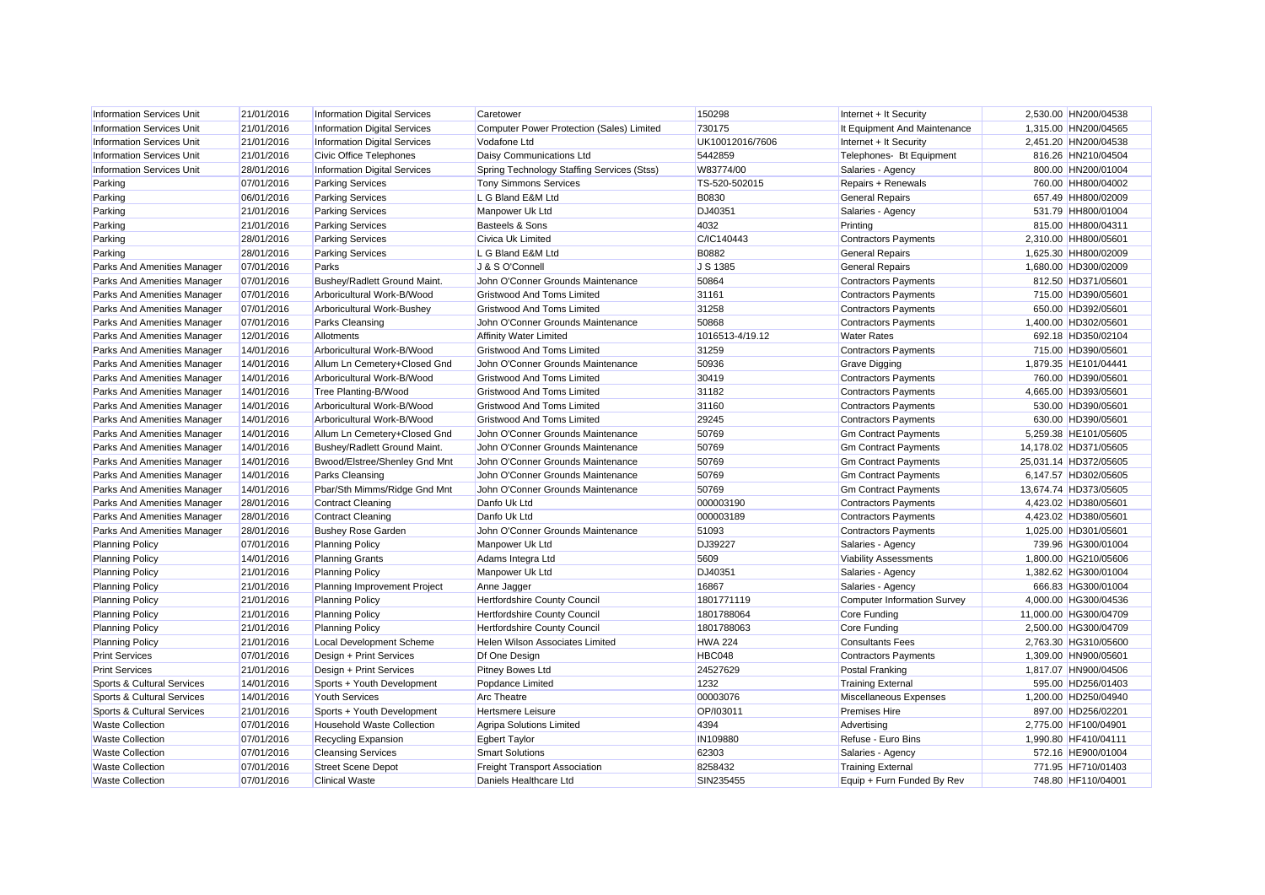| <b>Information Services Unit</b> | 21/01/2016 | <b>Information Digital Services</b> | Caretower                                        | 150298          | Internet + It Security       | 2,530.00 HN200/04538  |
|----------------------------------|------------|-------------------------------------|--------------------------------------------------|-----------------|------------------------------|-----------------------|
| <b>Information Services Unit</b> | 21/01/2016 | <b>Information Digital Services</b> | <b>Computer Power Protection (Sales) Limited</b> | 730175          | It Equipment And Maintenance | 1,315.00 HN200/04565  |
| <b>Information Services Unit</b> | 21/01/2016 | <b>Information Digital Services</b> | Vodafone Ltd                                     | UK10012016/7606 | Internet + It Security       | 2,451.20 HN200/04538  |
| <b>Information Services Unit</b> | 21/01/2016 | Civic Office Telephones             | Daisy Communications Ltd                         | 5442859         | Telephones- Bt Equipment     | 816.26 HN210/04504    |
| <b>Information Services Unit</b> | 28/01/2016 | <b>Information Digital Services</b> | Spring Technology Staffing Services (Stss)       | W83774/00       | Salaries - Agency            | 800.00 HN200/01004    |
| Parking                          | 07/01/2016 | <b>Parking Services</b>             | <b>Tony Simmons Services</b>                     | TS-520-502015   | Repairs + Renewals           | 760.00 HH800/04002    |
| Parking                          | 06/01/2016 | <b>Parking Services</b>             | L G Bland E&M Ltd                                | <b>B0830</b>    | <b>General Repairs</b>       | 657.49 HH800/02009    |
| Parking                          | 21/01/2016 | <b>Parking Services</b>             | Manpower Uk Ltd                                  | DJ40351         | Salaries - Agency            | 531.79 HH800/01004    |
| Parking                          | 21/01/2016 | <b>Parking Services</b>             | <b>Basteels &amp; Sons</b>                       | 4032            | Printing                     | 815.00 HH800/04311    |
| Parking                          | 28/01/2016 | <b>Parking Services</b>             | Civica Uk Limited                                | C/IC140443      | <b>Contractors Payments</b>  | 2,310.00 HH800/05601  |
| Parking                          | 28/01/2016 | <b>Parking Services</b>             | L G Bland E&M Ltd                                | <b>B0882</b>    | <b>General Repairs</b>       | 1,625.30 HH800/02009  |
| Parks And Amenities Manager      | 07/01/2016 | Parks                               | J & S O'Connell                                  | J S 1385        | <b>General Repairs</b>       | 1,680.00 HD300/02009  |
| Parks And Amenities Manager      | 07/01/2016 | Bushey/Radlett Ground Maint.        | John O'Conner Grounds Maintenance                | 50864           | <b>Contractors Payments</b>  | 812.50 HD371/05601    |
| Parks And Amenities Manager      | 07/01/2016 | Arboricultural Work-B/Wood          | <b>Gristwood And Toms Limited</b>                | 31161           | <b>Contractors Payments</b>  | 715.00 HD390/05601    |
| Parks And Amenities Manager      | 07/01/2016 | Arboricultural Work-Bushey          | <b>Gristwood And Toms Limited</b>                | 31258           | <b>Contractors Payments</b>  | 650.00 HD392/05601    |
| Parks And Amenities Manager      | 07/01/2016 | <b>Parks Cleansing</b>              | John O'Conner Grounds Maintenance                | 50868           | <b>Contractors Payments</b>  | 1.400.00 HD302/05601  |
| Parks And Amenities Manager      | 12/01/2016 | Allotments                          | <b>Affinity Water Limited</b>                    | 1016513-4/19.12 | <b>Water Rates</b>           | 692.18 HD350/02104    |
| Parks And Amenities Manager      | 14/01/2016 | Arboricultural Work-B/Wood          | <b>Gristwood And Toms Limited</b>                | 31259           | <b>Contractors Payments</b>  | 715.00 HD390/05601    |
| Parks And Amenities Manager      | 14/01/2016 | Allum Ln Cemetery+Closed Gnd        | John O'Conner Grounds Maintenance                | 50936           | <b>Grave Digging</b>         | 1.879.35 HE101/04441  |
| Parks And Amenities Manager      | 14/01/2016 | Arboricultural Work-B/Wood          | <b>Gristwood And Toms Limited</b>                | 30419           | <b>Contractors Payments</b>  | 760.00 HD390/05601    |
| Parks And Amenities Manager      | 14/01/2016 | Tree Planting-B/Wood                | <b>Gristwood And Toms Limited</b>                | 31182           | <b>Contractors Payments</b>  | 4,665.00 HD393/05601  |
| Parks And Amenities Manager      | 14/01/2016 | Arboricultural Work-B/Wood          | <b>Gristwood And Toms Limited</b>                | 31160           | <b>Contractors Payments</b>  | 530.00 HD390/05601    |
| Parks And Amenities Manager      | 14/01/2016 | Arboricultural Work-B/Wood          | <b>Gristwood And Toms Limited</b>                | 29245           | <b>Contractors Payments</b>  | 630.00 HD390/05601    |
| Parks And Amenities Manager      | 14/01/2016 | Allum Ln Cemetery+Closed Gnd        | John O'Conner Grounds Maintenance                | 50769           | <b>Gm Contract Payments</b>  | 5,259.38 HE101/05605  |
| Parks And Amenities Manager      | 14/01/2016 | Bushey/Radlett Ground Maint.        | John O'Conner Grounds Maintenance                | 50769           | <b>Gm Contract Payments</b>  | 14,178.02 HD371/05605 |
| Parks And Amenities Manager      | 14/01/2016 | Bwood/Elstree/Shenley Gnd Mnt       | John O'Conner Grounds Maintenance                | 50769           | <b>Gm Contract Payments</b>  | 25,031.14 HD372/05605 |
| Parks And Amenities Manager      | 14/01/2016 | <b>Parks Cleansing</b>              | John O'Conner Grounds Maintenance                | 50769           | <b>Gm Contract Payments</b>  | 6,147.57 HD302/05605  |
| Parks And Amenities Manager      | 14/01/2016 | Pbar/Sth Mimms/Ridge Gnd Mnt        | John O'Conner Grounds Maintenance                | 50769           | <b>Gm Contract Payments</b>  | 13.674.74 HD373/05605 |
| Parks And Amenities Manager      | 28/01/2016 | Contract Cleaning                   | Danfo Uk Ltd                                     | 000003190       | <b>Contractors Payments</b>  | 4.423.02 HD380/05601  |
| Parks And Amenities Manager      | 28/01/2016 | <b>Contract Cleaning</b>            | Danfo Uk Ltd                                     | 000003189       | <b>Contractors Payments</b>  | 4,423.02 HD380/05601  |
| Parks And Amenities Manager      | 28/01/2016 | <b>Bushey Rose Garden</b>           | John O'Conner Grounds Maintenance                | 51093           | <b>Contractors Payments</b>  | 1,025.00 HD301/05601  |
| <b>Planning Policy</b>           | 07/01/2016 | <b>Planning Policy</b>              | Manpower Uk Ltd                                  | <b>DJ39227</b>  | Salaries - Agency            | 739.96 HG300/01004    |
| <b>Planning Policy</b>           | 14/01/2016 | <b>Planning Grants</b>              | Adams Integra Ltd                                | 5609            | <b>Viability Assessments</b> | 1,800.00 HG210/05606  |
| <b>Planning Policy</b>           | 21/01/2016 | <b>Planning Policy</b>              | Manpower Uk Ltd                                  | DJ40351         | Salaries - Agency            | 1,382.62 HG300/01004  |
| <b>Planning Policy</b>           | 21/01/2016 | Planning Improvement Project        | Anne Jagger                                      | 16867           | Salaries - Agency            | 666.83 HG300/01004    |
| <b>Planning Policy</b>           | 21/01/2016 | <b>Planning Policy</b>              | <b>Hertfordshire County Council</b>              | 1801771119      | Computer Information Survey  | 4.000.00 HG300/04536  |
| <b>Planning Policy</b>           | 21/01/2016 | <b>Planning Policy</b>              | Hertfordshire County Council                     | 1801788064      | Core Funding                 | 11,000.00 HG300/04709 |
| <b>Planning Policy</b>           | 21/01/2016 | <b>Planning Policy</b>              | Hertfordshire County Council                     | 1801788063      | Core Funding                 | 2,500.00 HG300/04709  |
| <b>Planning Policy</b>           | 21/01/2016 | <b>Local Development Scheme</b>     | Helen Wilson Associates Limited                  | <b>HWA 224</b>  | <b>Consultants Fees</b>      | 2.763.30 HG310/05600  |
| <b>Print Services</b>            | 07/01/2016 | Design + Print Services             | Df One Design                                    | HBC048          | <b>Contractors Payments</b>  | 1,309.00 HN900/05601  |
| <b>Print Services</b>            | 21/01/2016 | Design + Print Services             | <b>Pitney Bowes Ltd</b>                          | 24527629        | Postal Franking              | 1,817.07 HN900/04506  |
| Sports & Cultural Services       | 14/01/2016 | Sports + Youth Development          | Popdance Limited                                 | 1232            | <b>Training External</b>     | 595.00 HD256/01403    |
| Sports & Cultural Services       | 14/01/2016 | <b>Youth Services</b>               | <b>Arc Theatre</b>                               | 00003076        | Miscellaneous Expenses       | 1,200.00 HD250/04940  |
| Sports & Cultural Services       | 21/01/2016 | Sports + Youth Development          | <b>Hertsmere Leisure</b>                         | OP/I03011       | <b>Premises Hire</b>         | 897.00 HD256/02201    |
| <b>Waste Collection</b>          | 07/01/2016 | <b>Household Waste Collection</b>   | Agripa Solutions Limited                         | 4394            | Advertising                  | 2,775.00 HF100/04901  |
| <b>Waste Collection</b>          | 07/01/2016 | <b>Recycling Expansion</b>          | <b>Egbert Taylor</b>                             | IN109880        | Refuse - Euro Bins           | 1,990.80 HF410/04111  |
| <b>Waste Collection</b>          | 07/01/2016 | <b>Cleansing Services</b>           | <b>Smart Solutions</b>                           | 62303           | Salaries - Agency            | 572.16 HE900/01004    |
| <b>Waste Collection</b>          | 07/01/2016 | <b>Street Scene Depot</b>           | <b>Freight Transport Association</b>             | 8258432         | <b>Training External</b>     | 771.95 HF710/01403    |
| <b>Waste Collection</b>          | 07/01/2016 | <b>Clinical Waste</b>               | Daniels Healthcare Ltd                           | SIN235455       | Equip + Furn Funded By Rev   | 748.80 HF110/04001    |
|                                  |            |                                     |                                                  |                 |                              |                       |